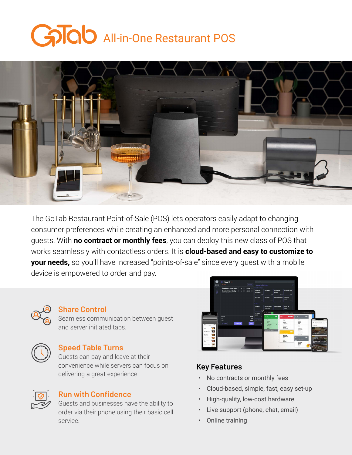# GOO All-in-One Restaurant POS



The GoTab Restaurant Point-of-Sale (POS) lets operators easily adapt to changing consumer preferences while creating an enhanced and more personal connection with guests. With **no contract or monthly fees**, you can deploy this new class of POS that works seamlessly with contactless orders. It is **cloud-based and easy to customize to your needs,** so you'll have increased "points-of-sale" since every quest with a mobile device is empowered to order and pay.



#### **Share Control**

Seamless communication between guest and server initiated tabs.



#### **Speed Table Turns**

Guests can pay and leave at their convenience while servers can focus on delivering a great experience.



#### **Run with Confidence**

Guests and businesses have the ability to order via their phone using their basic cell service.



#### **Key Features**

- No contracts or monthly fees
- Cloud-based, simple, fast, easy set-up
- High-quality, low-cost hardware
- Live support (phone, chat, email)
- Online training